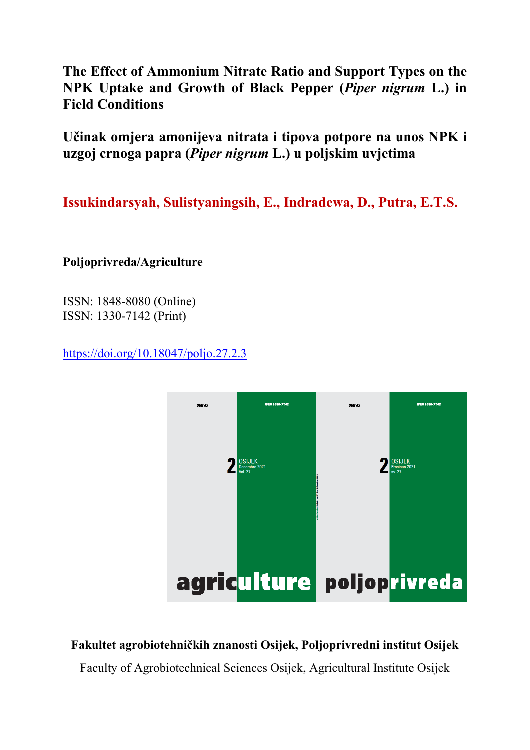**The Effect of Ammonium Nitrate Ratio and Support Types on the NPK Uptake and Growth of Black Pepper (***Piper nigrum* **L.) in Field Conditions** 

**Učinak omjera amonijeva nitrata i tipova potpore na unos NPK i uzgoj crnoga papra (***Piper nigrum* **L.) u poljskim uvjetima** 

**Issukindarsyah, Sulistyaningsih, E., Indradewa, D., Putra, E.T.S.**

**Poljoprivreda/Agriculture** 

ISSN: 1848-8080 (Online) ISSN: 1330-7142 (Print)

https://doi.org/10.18047/poljo.27.2.3



# **Fakultet agrobiotehničkih znanosti Osijek, Poljoprivredni institut Osijek**

Faculty of Agrobiotechnical Sciences Osijek, Agricultural Institute Osijek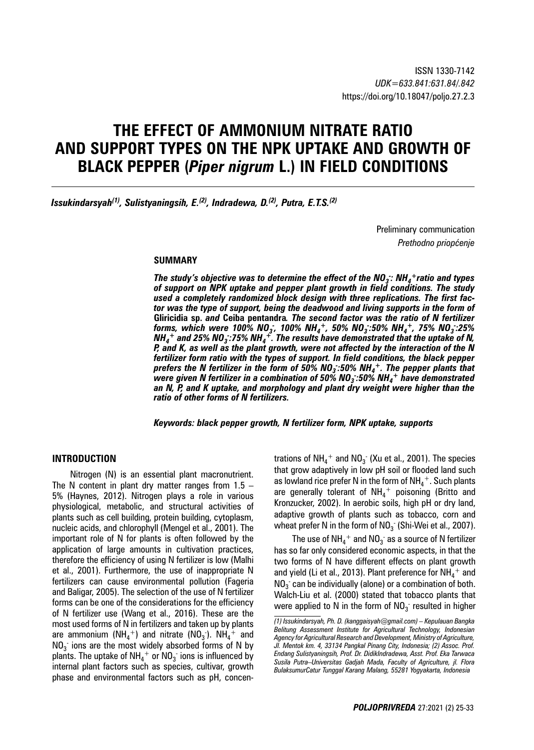# **THE EFFECT OF AMMONIUM NITRATE RATIO AND SUPPORT TYPES ON THE NPK UPTAKE AND GROWTH OF BLACK PEPPER (***Piper nigrum* **L.) IN FIELD CONDITIONS**

*Issukindarsyah(1), Sulistyaningsih, E.(2), Indradewa, D.(2), Putra, E.T.S.(2)*

Preliminary communication *Prethodno priopćenje*

#### **S UMMARY**

The study's objective was to determine the effect of the  $NO_3$ : NH<sub>4</sub>+ratio and types *of support on NPK uptake and pepper plant growth in field conditions. The study used a completely randomized block design with three replications. The first factor was the type of support, being the deadwood and living supports in the form of*  **Gliricidia sp.** *and* **Ceiba pentandra***. The second factor was the ratio of N fertilizer forms, which were 100% NO3 - , 100% NH4 +, 50% NO3 - :50% NH4 +, 75% NO3 - :25%*   $\textit{NH}_4{}^+$  and 25% NO<sub>3</sub> :75% NH<sub>4</sub><sup>+</sup>. The results have demonstrated that the uptake of N, *P, and K, as well as the plant growth, were not affected by the interaction of the N fertilizer form ratio with the types of support. In field conditions, the black pepper prefers the N fertilizer in the form of 50% NO3 - :50% NH4 +. The pepper plants that*  were given N fertilizer in a combination of 50% NO<sub>3</sub> :50% NH<sub>4</sub>+ have demonstrated *an N, P, and K uptake, and morphology and plant dry weight were higher than the ratio of other forms of N fertilizers.*

*Keywords: black pepper growth, N fertilizer form, NPK uptake, supports*

#### **INTRODUCTION**

Nitrogen (N) is an essential plant macronutrient. The N content in plant dry matter ranges from  $1.5 -$ 5% (Haynes, 2012). Nitrogen plays a role in various physiological, metabolic, and structural activities of plants such as cell building, protein building, cytoplasm, nucleic acids, and chlorophyll (Mengel et al., 2001). The important role of N for plants is often followed by the application of large amounts in cultivation practices, therefore the efficiency of using N fertilizer is low (Malhi et al., 2001). Furthermore, the use of inappropriate N fertilizers can cause environmental pollution (Fageria and Baligar, 2005). The selection of the use of N fertilizer forms can be one of the considerations for the efficiency of N fertilizer use (Wang et al., 2016). These are the most used forms of N in fertilizers and taken up by plants are ammonium (NH<sub>4</sub><sup>+</sup>) and nitrate (NO<sub>3</sub><sup>-</sup>). NH<sub>4</sub><sup>+</sup> and  $NO<sub>3</sub>$  ions are the most widely absorbed forms of N by plants. The uptake of NH $_4^+$  or NO $_3^{\text{-}}$  ions is influenced by internal plant factors such as species, cultivar, growth phase and environmental factors such as pH, concentrations of NH $_4^+$  and NO $_3^{\text{-}}$  (Xu et al., 2001). The species that grow adaptively in low pH soil or flooded land such as lowland rice prefer N in the form of  $\mathsf{NH}_4^+$ . Such plants are generally tolerant of  $NH_4^+$  poisoning (Britto and Kronzucker, 2002). In aerobic soils, high pH or dry land, adaptive growth of plants such as tobacco, corn and wheat prefer N in the form of NO $_3$  (Shi-Wei et al., 2007).

The use of NH $_4^+$  and NO $_3^{\texttt{-}}$  as a source of N fertilizer has so far only considered economic aspects, in that the two forms of N have different effects on plant growth and yield (Li et al., 2013). Plant preference for  $\mathsf{NH}_4^+$  and  $\mathsf{NO}_3^-$  can be individually (alone) or a combination of both. Walch-Liu et al. (2000) stated that tobacco plants that were applied to N in the form of  $\mathsf{NO_3^-}$  resulted in higher

*<sup>(1)</sup> Issukindarsyah, Ph. D. (kanggaisyah@gmail.com) – Kepulauan Bangka Belitung Assessment Institute for Agricultural Technology, Indonesian Agency for Agricultural Research and Development, Ministry of Agriculture, Jl. Mentok km. 4, 33134 Pangkal Pinang City, Indonesia; (2) Assoc. Prof. Endang Sulistyaningsih, Prof. Dr. DidikIndradewa, Asst. Prof. Eka Tarwaca Susila Putra–Universitas Gadjah Mada, Faculty of Agriculture, jl. Flora BulaksumurCatur Tunggal Karang Malang, 55281 Yogyakarta, Indonesia*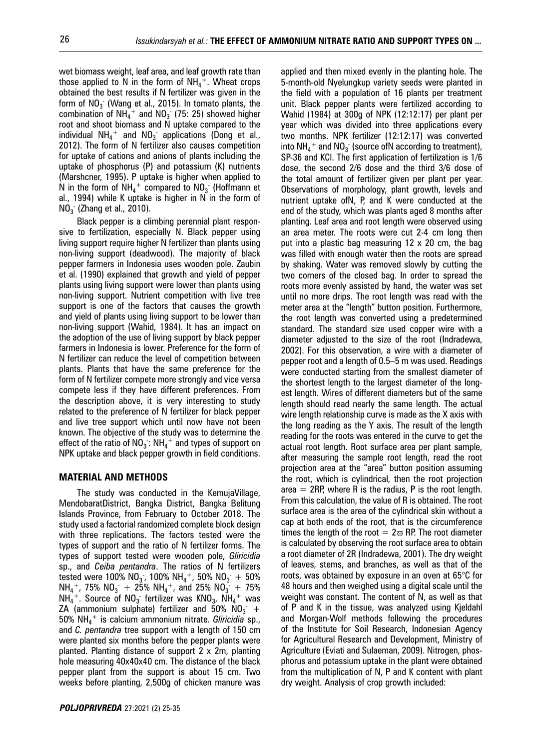wet biomass weight, leaf area, and leaf growth rate than those applied to N in the form of  $NH_4^+$ . Wheat crops obtained the best results if N fertilizer was given in the form of  $NO_3^-$  (Wang et al., 2015). In tomato plants, the combination of  $NH_4^+$  and  $NO_3$  (75: 25) showed higher root and shoot biomass and N uptake compared to the individual  $NH_4^+$  and  $NO_3^-$  applications (Dong et al., 2012). The form of N fertilizer also causes competition for uptake of cations and anions of plants including the uptake of phosphorus (P) and potassium (K) nutrients (Marshcner, 1995). P uptake is higher when applied to N in the form of  $NH_4^+$  compared to  $NO_3^-$  (Hoffmann et al., 1994) while K uptake is higher in N in the form of  $NO<sub>3</sub>$  (Zhang et al., 2010).

Black pepper is a climbing perennial plant responsive to fertilization, especially N. Black pepper using living support require higher N fertilizer than plants using non-living support (deadwood). The majority of black pepper farmers in Indonesia uses wooden pole. Zaubin et al. (1990) explained that growth and yield of pepper plants using living support were lower than plants using non-living support. Nutrient competition with live tree support is one of the factors that causes the growth and yield of plants using living support to be lower than non-living support (Wahid, 1984). It has an impact on the adoption of the use of living support by black pepper farmers in Indonesia is lower. Preference for the form of N fertilizer can reduce the level of competition between plants. Plants that have the same preference for the form of N fertilizer compete more strongly and vice versa compete less if they have different preferences. From the description above, it is very interesting to study related to the preference of N fertilizer for black pepper and live tree support which until now have not been known. The objective of the study was to determine the effect of the ratio of  $NO_3$  :  $NH_4{}^+$  and types of support on NPK uptake and black pepper growth in field conditions.

#### **MATERIAL AND METHODS**

The study was conducted in the KemujaVillage, MendobaratDistrict, Bangka District, Bangka Belitung Islands Province, from February to October 2018. The study used a factorial randomized complete block design with three replications. The factors tested were the types of support and the ratio of N fertilizer forms. The types of support tested were wooden pole, *Gliricidia*  sp., and *Ceiba pentandra*. The ratios of N fertilizers tested were 100% NO<sub>3</sub>, 100% NH<sub>4</sub><sup>+</sup>, 50% NO<sub>3</sub> + 50%  $NH_4^+$ , 75%  $NO_3^+ + 25% NH_4^+$ , and 25%  $NO_3^+ + 75%$  $NH_4^+$ . Source of  $NO_3^-$  fertilizer was  $\mathsf{KNO}_{3}$ ,  $\mathsf{NH_4}^+$  was ZA (ammonium sulphate) fertilizer and 50%  $\mathsf{NO_3^-}$   $+$ 50% NH4 + is calcium ammonium nitrate. *Gliricidia* sp., and *C. pentandra* tree support with a length of 150 cm were planted six months before the pepper plants were planted. Planting distance of support 2 x 2m, planting hole measuring 40x40x40 cm. The distance of the black pepper plant from the support is about 15 cm. Two weeks before planting, 2,500g of chicken manure was

applied and then mixed evenly in the planting hole. The 5-month-old Nyelungkup variety seeds were planted in the field with a population of 16 plants per treatment unit. Black pepper plants were fertilized according to Wahid (1984) at 300g of NPK (12:12:17) per plant per year which was divided into three applications every two months. NPK fertilizer (12:12:17) was converted into  $\mathsf{NH_4}^+$  and  $\mathsf{NO_3^-}$  (source ofN according to treatment), SP-36 and KCl. The first application of fertilization is 1/6 dose, the second 2/6 dose and the third 3/6 dose of the total amount of fertilizer given per plant per year. Observations of morphology, plant growth, levels and nutrient uptake ofN, P, and K were conducted at the end of the study, which was plants aged 8 months after planting. Leaf area and root length were observed using an area meter. The roots were cut 2-4 cm long then put into a plastic bag measuring 12 x 20 cm, the bag was filled with enough water then the roots are spread by shaking. Water was removed slowly by cutting the two corners of the closed bag. In order to spread the roots more evenly assisted by hand, the water was set until no more drips. The root length was read with the meter area at the "length" button position. Furthermore, the root length was converted using a predetermined standard. The standard size used copper wire with a diameter adjusted to the size of the root (Indradewa, 2002). For this observation, a wire with a diameter of pepper root and a length of 0.5–5 m was used. Readings were conducted starting from the smallest diameter of the shortest length to the largest diameter of the longest length. Wires of different diameters but of the same length should read nearly the same length. The actual wire length relationship curve is made as the X axis with the long reading as the Y axis. The result of the length reading for the roots was entered in the curve to get the actual root length. Root surface area per plant sample, after measuring the sample root length, read the root projection area at the "area" button position assuming the root, which is cylindrical, then the root projection area  $=$  2RP, where R is the radius, P is the root length. From this calculation, the value of R is obtained. The root surface area is the area of the cylindrical skin without a cap at both ends of the root, that is the circumference times the length of the root  $= 2\varpi$  RP. The root diameter is calculated by observing the root surface area to obtain a root diameter of 2R (Indradewa, 2001). The dry weight of leaves, stems, and branches, as well as that of the roots, was obtained by exposure in an oven at 65°C for 48 hours and then weighed using a digital scale until the weight was constant. The content of N, as well as that of P and K in the tissue, was analyzed using Kjeldahl and Morgan-Wolf methods following the procedures of the Institute for Soil Research, Indonesian Agency for Agricultural Research and Development, Ministry of Agriculture (Eviati and Sulaeman, 2009). Nitrogen, phosphorus and potassium uptake in the plant were obtained from the multiplication of N, P and K content with plant dry weight. Analysis of crop growth included: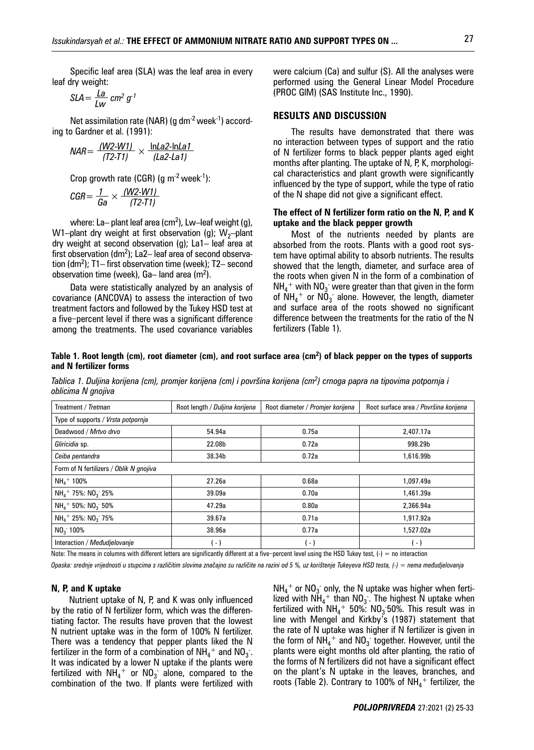Specific leaf area (SLA) was the leaf area in every leaf dry weight:

$$
SLA = \frac{La}{Lw} \, \text{cm}^2 \, \text{g}^{-1}
$$

Net assimilation rate (NAR) (g  $dm<sup>-2</sup>$  week<sup>-1</sup>) according to Gardner et al. (1991):

$$
NAR = \frac{(W2-W1)}{(T2-T1)} \times \frac{\ln La2 - \ln La1}{(La2 - La1)}
$$

Crop growth rate (CGR) (g  $m^{-2}$  week<sup>-1</sup>):

$$
\textit{CGR} = \frac{1}{\textit{Ga}} \times \frac{(\textit{W2-W1})}{(\textit{T2-T1})}
$$

where: La $-$  plant leaf area (cm<sup>2</sup>), Lw $-$ leaf weight (g), W1–plant dry weight at first observation (g);  $W_2$ –plant dry weight at second observation (g); La1– leaf area at first observation (dm<sup>2</sup>); La2– leaf area of second observation (dm2 ); T1– first observation time (week); T2– second observation time (week), Ga-land area  $(m^2)$ .

Data were statistically analyzed by an analysis of covariance (ANCOVA) to assess the interaction of two treatment factors and followed by the Tukey HSD test at a five-percent level if there was a significant difference among the treatments. The used covariance variables

were calcium (Ca) and sulfur (S). All the analyses were performed using the General Linear Model Procedure (PROC GlM) (SAS Institute Inc., 1990).

## **RESULTS AND DISCUSSION**

The results have demonstrated that there was no interaction between types of support and the ratio of N fertilizer forms to black pepper plants aged eight months after planting. The uptake of N, P, K, morphological characteristics and plant growth were significantly influenced by the type of support, while the type of ratio of the N shape did not give a significant effect.

#### **The effect of N fertilizer form ratio on the N, P, and K uptake and the black pepper growth**

Most of the nutrients needed by plants are absorbed from the roots. Plants with a good root system have optimal ability to absorb nutrients. The results showed that the length, diameter, and surface area of the roots when given N in the form of a combination of  $NH_4$ <sup>+</sup> with  $NO_3$  were greater than that given in the form of  $NH_4$ <sup>+</sup> or  $NO_3$  alone. However, the length, diameter and surface area of the roots showed no significant difference between the treatments for the ratio of the N fertilizers (Table 1).

#### **Table 1. Root length (cm), root diameter (cm), and root surface area (cm2 ) of black pepper on the types of supports and N fertilizer forms**

*Tablica 1. Duljina korijena (cm), promjer korijena (cm) i površina korijena (cm<sup>2</sup> ) crnoga papra na tipovima potpornja i oblicima N gnojiva*

| Treatment / Tretman                              | Root length / Duljina korijena | Root diameter / Promjer korijena | Root surface area / Površina korijena |  |  |  |  |
|--------------------------------------------------|--------------------------------|----------------------------------|---------------------------------------|--|--|--|--|
| Type of supports / Vrsta potpornja               |                                |                                  |                                       |  |  |  |  |
| Deadwood / Mrtvo drvo                            | 54.94a                         | 0.75a                            | 2.407.17a                             |  |  |  |  |
| Gliricidia sp.                                   | 22.08b                         | 0.72a                            | 998.29b                               |  |  |  |  |
| Ceiba pentandra                                  | 38.34b                         | 0.72a                            | 1,616.99b                             |  |  |  |  |
| Form of N fertilizers / Oblik N gnojiva          |                                |                                  |                                       |  |  |  |  |
| $NH4$ 100%                                       | 27.26a                         | 0.68a                            | 1.097.49a                             |  |  |  |  |
| $NH_4$ <sup>+</sup> 75%: $NO_3$ <sup>-</sup> 25% | 39.09a                         | 0.70a                            | 1,461.39a                             |  |  |  |  |
| $NH_4$ + 50%: $NO_3$ 50%                         | 47.29a                         | 0.80a                            | 2,366.94a                             |  |  |  |  |
| $NH4$ + 25%: NO <sub>3</sub> 75%                 | 39.67a                         | 0.71a                            | 1,917.92a                             |  |  |  |  |
| NO <sub>3</sub> 100%                             | 38.96a                         | 0.77a                            | 1,527.02a                             |  |  |  |  |
| Interaction / Medudielovanie                     | $\overline{\phantom{a}}$       | $\overline{a}$                   | l - 1                                 |  |  |  |  |

Note: The means in columns with different letters are significantly different at a five-percent level using the HSD Tukey test, (-) = no interaction

*Opaska: srednje vrijednosti u stupcima s različitim slovima značajno su različite na razini od 5 %, uz korištenje Tukeyeva HSD testa, (-) = nema međudjelovanja*

#### **N, P, and K uptake**

Nutrient uptake of N, P, and K was only influenced by the ratio of N fertilizer form, which was the differentiating factor. The results have proven that the lowest N nutrient uptake was in the form of 100% N fertilizer. There was a tendency that pepper plants liked the N fertilizer in the form of a combination of  $\mathsf{NH_4}^+$  and  $\mathsf{NO_3^-}.$ It was indicated by a lower N uptake if the plants were fertilized with  $NH_4^+$  or  $NO_3^-$  alone, compared to the combination of the two. If plants were fertilized with

 $NH_4$ <sup>+</sup> or  $NO_3$  only, the N uptake was higher when fertilized with  $NH_4^+$  than  $NO_3$ . The highest N uptake when fertilized with  $NH_4^+$  50%:  $NO_3$  50%. This result was in line with Mengel and Kirkby's (1987) statement that the rate of N uptake was higher if N fertilizer is given in the form of  $NH_4^+$  and  $NO_3^-$  together. However, until the plants were eight months old after planting, the ratio of the forms of N fertilizers did not have a significant effect on the plant's N uptake in the leaves, branches, and roots (Table 2). Contrary to 100% of  $NH_4^+$  fertilizer, the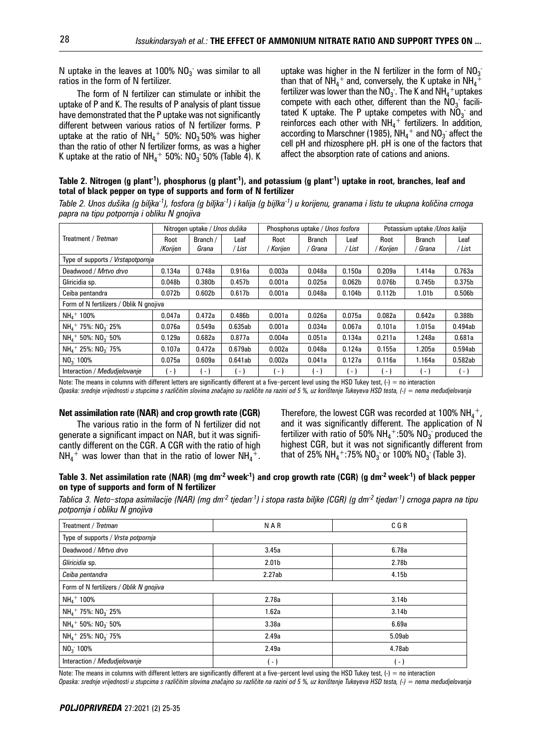N uptake in the leaves at 100%  $NO_{3}^-$  was similar to all ratios in the form of N fertilizer.

The form of N fertilizer can stimulate or inhibit the uptake of P and K. The results of P analysis of plant tissue have demonstrated that the P uptake was not significantly different between various ratios of N fertilizer forms. P uptake at the ratio of  $NH_4$ <sup>+</sup> 50%:  $NO_3$ 50% was higher than the ratio of other N fertilizer forms, as was a higher K uptake at the ratio of NH $_4^+$  50%: NO $_3^{\circ}$  50% (Table 4). K

uptake was higher in the N fertilizer in the form of  $NO_3$ than that of  $NH_4^+$  and, conversely, the K uptake in  $NH_4^+$ fertilizer was lower than the  $\mathsf{NO}_3$  . The K and  $\mathsf{NH_4}^+$ uptakes compete with each other, different than the  $NO<sub>3</sub>$  facilitated K uptake. The P uptake competes with  $NO<sub>3</sub>$  and reinforces each other with  $NH_4^+$  fertilizers. In addition, according to Marschner (1985),  $\text{NH}_4{}^+$  and  $\text{NO}_3{}^-$  affect the cell pH and rhizosphere pH. pH is one of the factors that affect the absorption rate of cations and anions.

**Table 2. Nitrogen (g plant-1), phosphorus (g plant-1), and potassium (g plant-1) uptake in root, branches, leaf and total of black pepper on type of supports and form of N fertilizer**

| Table 2. Unos dušika (g biljka <sup>-1</sup> ), fosfora (g biljka <sup>-1</sup> ) i kalija (g bijlka <sup>-1</sup> ) u korijenu, granama i listu te ukupna količina crnoga |  |  |
|----------------------------------------------------------------------------------------------------------------------------------------------------------------------------|--|--|
| papra na tipu potpornja i obliku N gnojiva                                                                                                                                 |  |  |

|                                         | Nitrogen uptake / Unos dušika |                    | Phosphorus uptake / Unos fosfora |                   |                          | Potassium uptake /Unos kalija |                    |                        |                    |
|-----------------------------------------|-------------------------------|--------------------|----------------------------------|-------------------|--------------------------|-------------------------------|--------------------|------------------------|--------------------|
| Treatment / Tretman                     | Root<br>/Korijen              | Branch /<br>Grana  | Leaf<br>' List                   | Root<br>/ Korijen | <b>Branch</b><br>' Grana | Leaf<br>' List                | Root<br>Korijen    | <b>Branch</b><br>Grana | Leaf<br>' List     |
| Type of supports / Vrstapotpornja       |                               |                    |                                  |                   |                          |                               |                    |                        |                    |
| Deadwood / Mrtvo drvo                   | 0.134a                        | 0.748a             | 0.916a                           | 0.003a            | 0.048a                   | 0.150a                        | 0.209a             | 1.414a                 | 0.763a             |
| Gliricidia sp.                          | 0.048b                        | 0.380 <sub>b</sub> | 0.457 <sub>b</sub>               | 0.001a            | 0.025a                   | 0.062 <sub>b</sub>            | 0.076 <sub>b</sub> | 0.745 <sub>b</sub>     | 0.375 <sub>b</sub> |
| Ceiba pentandra                         | 0.072 <sub>b</sub>            | 0.602 <sub>b</sub> | 0.617 <sub>b</sub>               | 0.001a            | 0.048a                   | 0.104 <sub>b</sub>            | 0.112 <sub>b</sub> | 1.01 <sub>b</sub>      | 0.506 <sub>b</sub> |
| Form of N fertilizers / Oblik N anoiiva |                               |                    |                                  |                   |                          |                               |                    |                        |                    |
| $NHA$ + 100%                            | 0.047a                        | 0.472a             | 0.486 <sub>b</sub>               | 0.001a            | 0.026a                   | 0.075a                        | 0.082a             | 0.642a                 | 0.388b             |
| $NH_4$ + 75%: NO <sub>3</sub> 25%       | 0.076a                        | 0.549a             | 0.635ab                          | 0.001a            | 0.034a                   | 0.067a                        | 0.101a             | 1.015a                 | 0.494ab            |
| $NHa$ + 50%: NO <sub>2</sub> 50%        | 0.129a                        | 0.682a             | 0.877a                           | 0.004a            | 0.051a                   | 0.134a                        | 0.211a             | 1.248a                 | 0.681a             |
| $NH_4$ + 25%: $NO_3$ 75%                | 0.107a                        | 0.472a             | 0.679ab                          | 0.002a            | 0.048a                   | 0.124a                        | 0.155a             | 1.205a                 | 0.594ab            |
| $NO3$ 100%                              | 0.075a                        | 0.609a             | 0.641ab                          | 0.002a            | 0.041a                   | 0.127a                        | 0.116a             | 1.164a                 | 0.582ab            |
| Interaction / Medudielovanie            | - 1                           | - 1                | $-1$                             | - 1               | $-1$                     | $-1$                          | $-1$               | $\overline{a}$         | $( - )$            |

Note: The means in columns with different letters are significantly different at a five-percent level using the HSD Tukey test, (-) = no interaction *O paska: srednje vrijednosti u stupcima s različitim slovima značajno su različite na razini od 5 %, uz korištenje Tukeyeva HSD testa, (-) = nema međudjelovanja*

#### **Net assimilation rate (NAR) and crop growth rate (CGR)**

The various ratio in the form of N fertilizer did not generate a significant impact on NAR, but it was significantly different on the CGR. A CGR with the ratio of high  $NH_4^+$  was lower than that in the ratio of lower  $NH_4^+$ .

Therefore, the lowest CGR was recorded at 100%  $NH_4^+$ , and it was significantly different. The application of N fertilizer with ratio of 50%  $NH_4^+$ :50%  $NO_3^-$  produced the highest CGR, but it was not significantly different from that of 25% NH<sub>4</sub><sup>+</sup>:75% NO<sub>3</sub><sup>-</sup> or 100% NO<sub>3</sub><sup>-</sup> (Table 3).

## **Table 3. Net assimilation rate (NAR) (mg dm-2 week-1) and crop growth rate (CGR) (g dm-2 week-1) of black pepper on type of supports and form of N fertilizer**

*Tablica 3. Neto*‒*stopa asimilacije (NAR) (mg dm-2 tjedan-1) i stopa rasta biljke (CGR) (g dm-2 tjedan-1) crnoga papra na tipu potpornja i obliku N gnojiva*

| Treatment / Tretman                              | <b>NAR</b>        | C G R             |  |  |  |  |  |
|--------------------------------------------------|-------------------|-------------------|--|--|--|--|--|
| Type of supports / Vrsta potpornja               |                   |                   |  |  |  |  |  |
| Deadwood / Mrtvo drvo                            | 3.45a             | 6.78a             |  |  |  |  |  |
| Gliricidia sp.                                   | 2.01 <sub>b</sub> | 2.78b             |  |  |  |  |  |
| Ceiba pentandra                                  | 2.27ab            | 4.15b             |  |  |  |  |  |
| Form of N fertilizers / Oblik N gnojiva          |                   |                   |  |  |  |  |  |
| $NHA$ + 100%                                     | 2.78a             | 3.14b             |  |  |  |  |  |
| $NH_4$ <sup>+</sup> 75%: $NO_3$ <sup>-</sup> 25% | 1.62a             | 3.14 <sub>b</sub> |  |  |  |  |  |
| $NH_4$ <sup>+</sup> 50%: $NO_3$ <sup>-</sup> 50% | 3.38a             | 6.69a             |  |  |  |  |  |
| $NH_4$ <sup>+</sup> 25%: $NO_3$ <sup>-</sup> 75% | 2.49a             | 5.09ab            |  |  |  |  |  |
| $NO3$ 100%                                       | 2.49a             | 4.78ab            |  |  |  |  |  |
| Interaction / Medudjelovanje                     | ( - )             | $\overline{a}$    |  |  |  |  |  |

Note: The means in columns with different letters are significantly different at a five-percent level using the HSD Tukey test,  $(-) =$  no interaction

*Opaska: srednje vrijednosti u stupcima s različitim slovima značajno su različite na razini od 5 %, uz korištenje Tukeyeva HSD testa, (-) = nema međudjelovanja*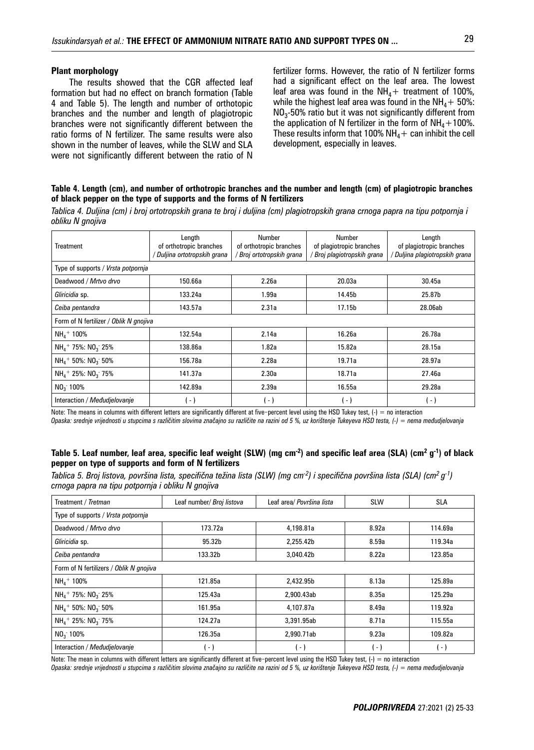#### **Plant morphology**

The results showed that the CGR affected leaf formation but had no effect on branch formation (Table 4 and Table 5). The length and number of orthotopic branches and the number and length of plagiotropic branches were not significantly different between the ratio forms of N fertilizer. The same results were also shown in the number of leaves, while the SLW and SLA were not significantly different between the ratio of N

fertilizer forms. However, the ratio of N fertilizer forms had a significant effect on the leaf area. The lowest leaf area was found in the  $NH<sub>4</sub>$ + treatment of 100%, while the highest leaf area was found in the  $NH<sub>4</sub> + 50$ %:  $NO<sub>3</sub>$ -50% ratio but it was not significantly different from the application of N fertilizer in the form of  $NH_4+100\%$ . These results inform that 100%  $NH<sub>4</sub>$  + can inhibit the cell development, especially in leaves.

#### **Table 4. Length (cm), and number of orthotropic branches and the number and length (cm) of plagiotropic branches of black pepper on the type of supports and the forms of N fertilizers**

*Tablica 4. Duljina (cm) i broj ortotropskih grana te broj i duljina (cm) plagiotropskih grana crnoga papra na tipu potpornja i obliku N gnojiva*

| <b>Treatment</b>                       | Length<br>of orthotropic branches<br>Duljina ortotropskih grana | Number<br>of orthotropic branches<br>/ Broj ortotropskih grana | Number<br>of plagiotropic branches<br>Broj plagiotropskih grana | Length<br>of plagiotropic branches<br>' Duljina plagiotropskih grana |  |  |  |
|----------------------------------------|-----------------------------------------------------------------|----------------------------------------------------------------|-----------------------------------------------------------------|----------------------------------------------------------------------|--|--|--|
| Type of supports / Vrsta potpornja     |                                                                 |                                                                |                                                                 |                                                                      |  |  |  |
| Deadwood / Mrtvo drvo                  | 150.66a                                                         | 2.26a                                                          | 20.03a                                                          | 30.45a                                                               |  |  |  |
| Gliricidia sp.                         | 133.24a                                                         | 1.99a                                                          | 14.45b                                                          | 25.87b                                                               |  |  |  |
| Ceiba pentandra                        | 143.57a                                                         | 2.31a                                                          | 17.15b                                                          | 28.06ab                                                              |  |  |  |
| Form of N fertilizer / Oblik N gnojiva |                                                                 |                                                                |                                                                 |                                                                      |  |  |  |
| $NHA$ + 100%                           | 132.54a                                                         | 2.14a                                                          | 16.26a                                                          | 26.78a                                                               |  |  |  |
| $NH4$ + 75%: NO <sub>3</sub> 25%       | 138.86a                                                         | 1.82a                                                          | 15.82a                                                          | 28.15a                                                               |  |  |  |
| $NH_4$ + 50%: $NO_3$ 50%               | 156.78a                                                         | 2.28a                                                          | 19.71a                                                          | 28.97a                                                               |  |  |  |
| $NH_4$ + 25%: NO <sub>3</sub> 75%      | 141.37a                                                         | 2.30a                                                          | 18.71a                                                          | 27.46a                                                               |  |  |  |
| NO <sub>3</sub> 100%                   | 142.89a                                                         | 2.39a                                                          | 16.55a                                                          | 29.28a                                                               |  |  |  |
| Interaction / Medudielovanie           | $-1$                                                            | ( - )                                                          | $\overline{a}$                                                  | - )                                                                  |  |  |  |

Note: The means in columns with different letters are significantly different at five-percent level using the HSD Tukey test, (-) = no interaction

*Opaska: srednje vrijednosti u stupcima s različitim slovima značajno su različite na razini od 5 %, uz korištenje Tukeyeva HSD testa, (-) = nema međudjelovanja*

#### **Table 5. Leaf number, leaf area, specific leaf weight (SLW) (mg cm-2) and specific leaf area (SLA) (cm2 g-1) of black pepper on type of supports and form of N fertilizers**

*Tablica 5. Broj listova, površina lista, specifična težina lista (SLW) (mg cm-2) i specifična površina lista (SLA) (cm2 g-1) crnoga papra na tipu potpornja i obliku N gnojiva*

| Treatment / Tretman                              | Leaf number/ Broj listova | Leaf area/ Površina lista | <b>SLW</b>      | SLA               |  |  |  |  |
|--------------------------------------------------|---------------------------|---------------------------|-----------------|-------------------|--|--|--|--|
| Type of supports / Vrsta potpornja               |                           |                           |                 |                   |  |  |  |  |
| Deadwood / Mrtvo drvo                            | 173.72a                   | 4,198.81a                 | 8.92a           | 114.69a           |  |  |  |  |
| Gliricidia sp.                                   | 95.32b                    | 2,255.42b                 | 8.59a           | 119.34a           |  |  |  |  |
| Ceiba pentandra                                  | 133.32b                   | 3,040.42b                 | 8.22a           | 123.85a           |  |  |  |  |
| Form of N fertilizers / Oblik N gnojiva          |                           |                           |                 |                   |  |  |  |  |
| $NH4$ + 100%                                     | 121.85a                   | 2,432.95b                 | 8.13a           | 125.89a           |  |  |  |  |
| $NH_4$ <sup>+</sup> 75%: $NO_3$ <sup>-</sup> 25% | 125.43a                   | 2,900.43ab                | 8.35a           | 125.29a           |  |  |  |  |
| $NH_4$ <sup>+</sup> 50%: $NO_3$ 50%              | 161.95a                   | 4,107.87a                 | 8.49a           | 119.92a           |  |  |  |  |
| $NH_4$ <sup>+</sup> 25%: $NO_3$ <sup>-</sup> 75% | 124.27a                   | 3,391.95ab                | 8.71a           | 115.55a           |  |  |  |  |
| $NO3$ 100%                                       | 126.35a                   | 2,990.71ab                | 9.23a           | 109.82a           |  |  |  |  |
| Interaction / Medudielovanie                     | н.                        | $\blacksquare$            | $\vert - \vert$ | $\left( -\right)$ |  |  |  |  |

Note: The mean in columns with different letters are significantly different at five-percent level using the HSD Tukey test, (-) = no interaction

*O paska: srednje vrijednosti u stupcima s različitim slovima značajno su različite na razini od 5 %, uz korištenje Tukeyeva HSD testa, (-) = nema međudjelovanja*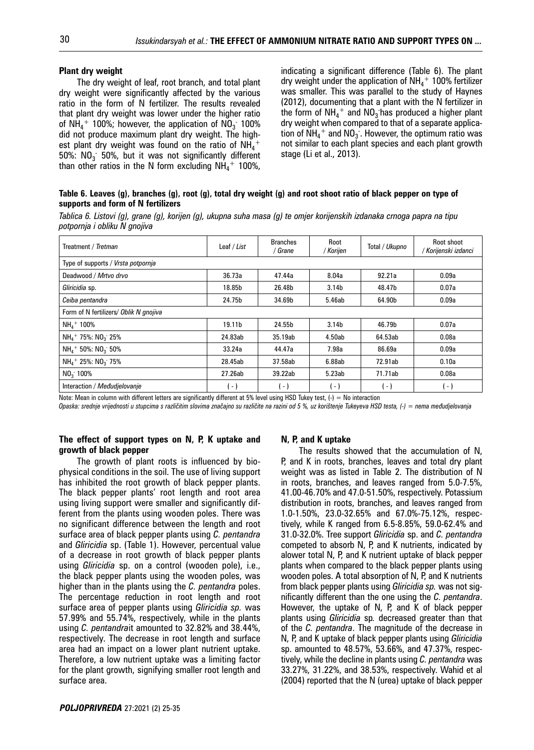#### **Plant dry weight**

The dry weight of leaf, root branch, and total plant dry weight were significantly affected by the various ratio in the form of N fertilizer. The results revealed that plant dry weight was lower under the higher ratio of NH<sub>4</sub><sup>+</sup> 100%; however, the application of NO<sub>3</sub> 100% did not produce maximum plant dry weight. The highest plant dry weight was found on the ratio of  $NH_4^+$ 50%:  $NO_3$  50%, but it was not significantly different than other ratios in the N form excluding  $NH_4^+$  100%, indicating a significant difference (Table 6). The plant dry weight under the application of  $NH_4^+$  100% fertilizer was smaller. This was parallel to the study of Haynes (2012), documenting that a plant with the N fertilizer in the form of  $NH_4^+$  and  $NO_3$  has produced a higher plant dry weight when compared to that of a separate application of  $NH_4^+$  and  $NO_3^-$ . However, the optimum ratio was not similar to each plant species and each plant growth stage (Li et al., 2013).

**Table 6. Leaves (g), branches (g), root (g), total dry weight (g) and root shoot ratio of black pepper on type of supports and form of N fertilizers**

*Tablica 6. Listovi (g), grane (g), korijen (g), ukupna suha masa (g) te omjer korijenskih izdanaka crnoga papra na tipu potpornja i obliku N gnojiva*

| Treatment / Tretman                              | Leaf / List       | <b>Branches</b><br>/ Grane | Root<br>/ Korijen | Total / Ukupno | Root shoot<br>' Korijenski izdanci |  |  |
|--------------------------------------------------|-------------------|----------------------------|-------------------|----------------|------------------------------------|--|--|
| Type of supports / Vrsta potpornja               |                   |                            |                   |                |                                    |  |  |
| Deadwood / Mrtvo drvo                            | 36.73a            | 47.44a                     | 8.04a             | 92.21a         | 0.09a                              |  |  |
| Gliricidia sp.                                   | 18.85b            | 26.48b                     | 3.14 <sub>b</sub> | 48.47b         | 0.07a                              |  |  |
| Ceiba pentandra                                  | 24.75b            | 34.69b                     | 5.46ab            | 64.90b         | 0.09a                              |  |  |
| Form of N fertilizers/ Oblik N gnojiva           |                   |                            |                   |                |                                    |  |  |
| $NHA$ + 100%                                     | 19.11b            | 24.55b                     | 3.14 <sub>b</sub> | 46.79b         | 0.07a                              |  |  |
| $NH_4$ <sup>+</sup> 75%: $NO_3$ <sup>-</sup> 25% | 24.83ab           | 35.19ab                    | 4.50ab            | 64.53ab        | 0.08a                              |  |  |
| $NH_4$ <sup>+</sup> 50%: NO <sub>3</sub> 50%     | 33.24a            | 44.47a                     | 7.98a             | 86.69a         | 0.09a                              |  |  |
| $NH_4$ + 25%: $NO_3$ 75%                         | 28.45ab           | 37.58ab                    | 6.88ab            | 72.91ab        | 0.10a                              |  |  |
| $NO3$ 100%                                       | 27.26ab           | 39.22ab                    | 5.23ab            | 71.71ab        | 0.08a                              |  |  |
| Interaction / Medudjelovanje                     | $\left( -\right)$ | $-1$                       | $\overline{a}$    | - )            | . - )                              |  |  |

Note: Mean in column with different letters are significantly different at 5% level using HSD Tukey test,  $(-) =$  No interaction

*Opaska: srednje vrijednosti u stupcima s različitim slovima značajno su različite na razini od 5 %, uz korištenje Tukeyeva HSD testa, (-) = nema međudjelovanja*

#### **The effect of support types on N, P, K uptake and growth of black pepper**

The growth of plant roots is influenced by biophysical conditions in the soil. The use of living support has inhibited the root growth of black pepper plants. The black pepper plants' root length and root area using living support were smaller and significantly different from the plants using wooden poles. There was no significant difference between the length and root surface area of black pepper plants using *C. pentandra*  and *Gliricidia* sp. (Table 1). However, percentual value of a decrease in root growth of black pepper plants using *Gliricidia* sp. on a control (wooden pole), i.e., the black pepper plants using the wooden poles, was higher than in the plants using the *C. pentandra* poles. The percentage reduction in root length and root surface area of pepper plants using *Gliricidia sp.* was 57.99% and 55.74%, respectively, while in the plants using *C. pentandra*it amounted to 32.82% and 38.44%, respectively. The decrease in root length and surface area had an impact on a lower plant nutrient uptake. Therefore, a low nutrient uptake was a limiting factor for the plant growth, signifying smaller root length and surface area.

#### **N, P, and K uptake**

The results showed that the accumulation of N, P, and K in roots, branches, leaves and total dry plant weight was as listed in Table 2. The distribution of N in roots, branches, and leaves ranged from 5.0-7.5%, 41.00-46.70% and 47.0-51.50%, respectively. Potassium distribution in roots, branches, and leaves ranged from 1.0-1.50%, 23.0-32.65% and 67.0%-75.12%, respectively, while K ranged from 6.5-8.85%, 59.0-62.4% and 31.0-32.0%. Tree support *Gliricidia* sp. and *C. pentandra* competed to absorb N, P, and K nutrients, indicated by alower total N, P, and K nutrient uptake of black pepper plants when compared to the black pepper plants using wooden poles. A total absorption of N, P, and K nutrients from black pepper plants using *Gliricidia sp.* was not significantly different than the one using the *C. pentandra*. However, the uptake of N, P, and K of black pepper plants using *Gliricidia* sp*.* decreased greater than that of the *C. pentandra*. The magnitude of the decrease in N, P, and K uptake of black pepper plants using *Gliricidia*  sp. amounted to 48.57%, 53.66%, and 47.37%, respectively, while the decline in plants using *C. pentandra* was 33.27%, 31.22%, and 38.53%, respectively. Wahid et al (2004) reported that the N (urea) uptake of black pepper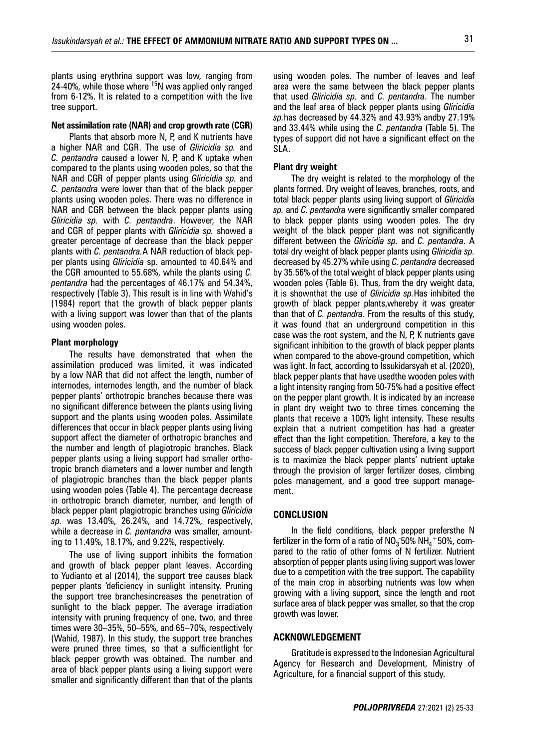plants using erythrina support was low, ranging from 24-40%, while those where  $15N$  was applied only ranged from 6-12%. It is related to a competition with the live tree support.

## **Net assimilation rate (NAR) and crop growth rate (CGR)**

Plants that absorb more N, P, and K nutrients have a higher NAR and CGR. The use of *Gliricidia sp.* and *C. pentandra* caused a lower N, P, and K uptake when compared to the plants using wooden poles, so that the NAR and CGR of pepper plants using *Gliricidia sp.* and *C. pentandra* were lower than that of the black pepper plants using wooden poles. There was no difference in NAR and CGR between the black pepper plants using *Gliricidia sp.* with *C. pentandra*. However, the NAR and CGR of pepper plants with *Gliricidia sp.* showed a greater percentage of decrease than the black pepper plants with *C. pentandra.*A NAR reduction of black pepper plants using *Gliricidia* sp. amounted to 40.64% and the CGR amounted to 55.68%, while the plants using *C. pentandra* had the percentages of 46.17% and 54.34%, respectively (Table 3). This result is in line with Wahid's (1984) report that the growth of black pepper plants with a living support was lower than that of the plants using wooden poles.

#### **Plant morphology**

The results have demonstrated that when the assimilation produced was limited, it was indicated by a low NAR that did not affect the length, number of internodes, internodes length, and the number of black pepper plants' orthotropic branches because there was no significant difference between the plants using living support and the plants using wooden poles. Assimilate differences that occur in black pepper plants using living support affect the diameter of orthotropic branches and the number and length of plagiotropic branches. Black pepper plants using a living support had smaller orthotropic branch diameters and a lower number and length of plagiotropic branches than the black pepper plants using wooden poles (Table 4). The percentage decrease in orthotropic branch diameter, number, and length of black pepper plant plagiotropic branches using *Gliricidia sp.* was 13.40%, 26.24%, and 14.72%, respectively, while a decrease in *C. pentandra* was smaller, amounting to 11.49%, 18.17%, and 9.22%, respectively.

The use of living support inhibits the formation and growth of black pepper plant leaves. According to Yudianto et al (2014), the support tree causes black pepper plants 'deficiency in sunlight intensity. Pruning the support tree branchesincreases the penetration of sunlight to the black pepper. The average irradiation intensity with pruning frequency of one, two, and three times were 30–35%, 50–55%, and 65–70%, respectively (Wahid, 1987). In this study, the support tree branches were pruned three times, so that a sufficientlight for black pepper growth was obtained. The number and area of black pepper plants using a living support were smaller and significantly different than that of the plants

using wooden poles. The number of leaves and leaf area were the same between the black pepper plants that used *Gliricidia sp.* and *C. pentandra*. The number and the leaf area of black pepper plants using *Gliricidia sp.*has decreased by 44.32% and 43.93% andby 27.19% and 33.44% while using the *C. pentandra* (Table 5). The types of support did not have a significant effect on the SLA.

#### **Plant dry weight**

The dry weight is related to the morphology of the plants formed. Dry weight of leaves, branches, roots, and total black pepper plants using living support of *Gliricidia sp.* and *C. pentandra* were significantly smaller compared to black pepper plants using wooden poles. The dry weight of the black pepper plant was not significantly different between the *Gliricidia sp.* and *C. pentandra*. A total dry weight of black pepper plants using *Gliricidia sp.* decreased by 45.27% while using *C. pentandra* decreased by 35.56% of the total weight of black pepper plants using wooden poles (Table 6). Thus, from the dry weight data, it is shownthat the use of *Gliricidia sp.*Has inhibited the growth of black pepper plants,whereby it was greater than that of *C. pentandra*. From the results of this study, it was found that an underground competition in this case was the root system, and the N, P, K nutrients gave significant inhibition to the growth of black pepper plants when compared to the above-ground competition, which was light. In fact, according to Issukidarsyah et al. (2020), black pepper plants that have usedthe wooden poles with a light intensity ranging from 50-75% had a positive effect on the pepper plant growth. It is indicated by an increase in plant dry weight two to three times concerning the plants that receive a 100% light intensity. These results explain that a nutrient competition has had a greater effect than the light competition. Therefore, a key to the success of black pepper cultivation using a living support is to maximize the black pepper plants' nutrient uptake through the provision of larger fertilizer doses, climbing poles management, and a good tree support management.

#### **CONCLUSION**

In the field conditions, black pepper prefersthe N fertilizer in the form of a ratio of  $NO_3$  50%  $NH_4$ +50%, compared to the ratio of other forms of N fertilizer. Nutrient absorption of pepper plants using living support was lower due to a competition with the tree support. The capability of the main crop in absorbing nutrients was low when growing with a living support, since the length and root surface area of black pepper was smaller, so that the crop growth was lower.

#### **ACKNOWLEDGEMENT**

Gratitude is expressed to the Indonesian Agricultural Agency for Research and Development, Ministry of Agriculture, for a financial support of this study.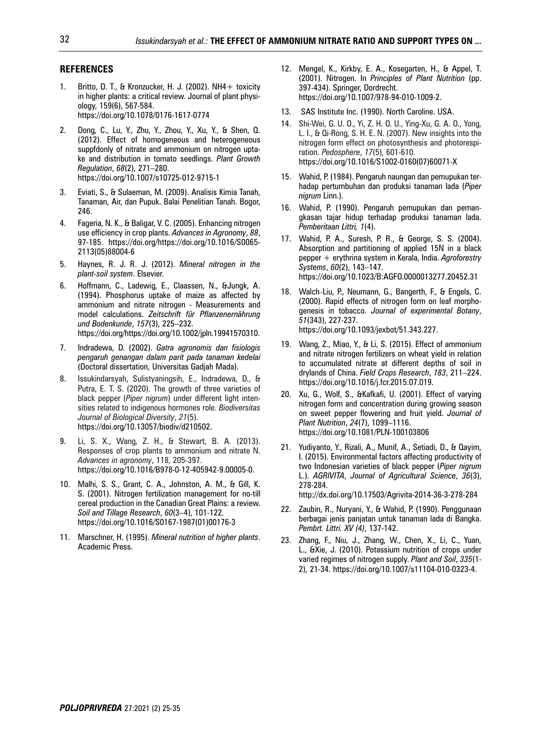#### **REFERENCES**

- 1. Britto, D. T., & Kronzucker, H. J. (2002). NH4+ toxicity in higher plants: a critical review. Journal of plant physiology, 159(6), 567-584. https://doi.org/10.1078/0176-1617-0774
- 2. Dong, C., Lu, Y., Zhu, Y., Zhou, Y., Xu, Y., & Shen, Q. (2012). Effect of homogeneous and heterogeneous suppfdonly of nitrate and ammonium on nitrogen uptake and distribution in tomato seedlings. *Plant Growth Regulation*, *68*(2), 271–280. https://doi.org/10.1007/s10725-012-9715-1
- 3. Eviati, S., & Sulaeman, M. (2009). Analisis Kimia Tanah, Tanaman, Air, dan Pupuk. Balai Penelitian Tanah. Bogor, 246.
- 4. Fageria, N. K., & Baligar, V. C. (2005). Enhancing nitrogen use efficiency in crop plants. *Advances in Agronomy*, *88*, 97-185. https://doi.org/https://doi.org/10.1016/S0065- 2113(05)88004-6
- 5. Haynes, R. J. R. J. (2012). *Mineral nitrogen in the plant-soil system*. Elsevier.
- 6. Hoffmann, C., Ladewig, E., Claassen, N., &Jungk, A. (1994). Phosphorus uptake of maize as affected by ammonium and nitrate nitrogen - Measurements and model calculations. *Zeitschrift für Pflanzenernährung und Bodenkunde*, *157*(3), 225–232. https://doi.org/https://doi.org/10.1002/jpln.19941570310.
- 7. Indradewa, D. (2002). *Gatra agronomis dan fisiologis pengaruh genangan dalam parit pada tanaman kedelai* (Doctoral dissertation, Universitas Gadjah Mada).
- 8. Issukindarsyah, Sulistyaningsih, E., Indradewa, D., & Putra, E. T. S. (2020). The growth of three varieties of black pepper (*Piper nigrum*) under different light intensities related to indigenous hormones role. *Biodiversitas Journal of Biological Diversity*, *21*(5). https://doi.org/10.13057/biodiv/d210502.
- 9. Li, S. X., Wang, Z. H., & Stewart, B. A. (2013). Responses of crop plants to ammonium and nitrate N. *Advances in agronomy*, 118, 205-397. https://doi.org/10.1016/B978-0-12-405942-9.00005-0.
- 10. Malhi, S. S., Grant, C. A., Johnston, A. M., & Gill, K. S. (2001). Nitrogen fertilization management for no-till cereal production in the Canadian Great Plains: a review. *Soil and Tillage Research*, *60*(3–4), 101-122. https://doi.org/10.1016/S0167-1987(01)00176-3
- 11. Marschner, H. (1995). *Mineral nutrition of higher plants*. Academic Press.
- 12. Mengel, K., Kirkby, E. A., Kosegarten, H., & Appel, T. (2001). Nitrogen. In *Principles of Plant Nutrition* (pp. 397-434). Springer, Dordrecht. https://doi.org/10.1007/978-94-010-1009-2.
- 13. SAS Institute Inc. (1990). North Caroline. USA.
- 14. Shi-Wei, G. U. O., Yi, Z. H. O. U., Ying-Xu, G. A. O., Yong, L. I., & Qi-Rong, S. H. E. N. (2007). New insights into the nitrogen form effect on photosynthesis and photorespiration. *Pedosphere*, *17*(5), 601-610. https://doi.org/10.1016/S1002-0160(07)60071-X
- 15. Wahid, P. (1984). Pengaruh naungan dan pemupukan terhadap pertumbuhan dan produksi tanaman lada (*Piper nigrum* Linn.).
- 16. Wahid, P. (1990). Pengaruh pemupukan dan pemangkasan tajar hidup terhadap produksi tanaman lada. *Pemberitaan Littri, 1*(4).
- 17. Wahid, P. A., Suresh, P. R., & George, S. S. (2004). Absorption and partitioning of applied 15N in a black pepper + erythrina system in Kerala, India. *Agroforestry Systems*, *60*(2), 143–147. https://doi.org/10.1023/B:AGFO.0000013277.20452.31
- 18. Walch-Liu, P., Neumann, G., Bangerth, F., & Engels, C. (2000). Rapid effects of nitrogen form on leaf morphogenesis in tobacco. *Journal of experimental Botany*, *51*(343), 227-237. https://doi.org/10.1093/jexbot/51.343.227.
- 19. Wang, Z., Miao, Y., & Li, S. (2015). Effect of ammonium and nitrate nitrogen fertilizers on wheat yield in relation to accumulated nitrate at different depths of soil in drylands of China. *Field Crops Research*, *183*, 211–224. https://doi.org/10.1016/j.fcr.2015.07.019.
- 20. Xu, G., Wolf, S., &Kafkafi, U. (2001). Effect of varying nitrogen form and concentration during growing season on sweet pepper flowering and fruit yield. *Journal of Plant Nutrition*, *24*(7), 1099–1116. https://doi.org/10.1081/PLN-100103806
- 21. Yudiyanto, Y., Rizali, A., Munif, A., Setiadi, D., & Qayim, I. (2015). Environmental factors affecting productivity of two Indonesian varieties of black pepper (*Piper nigrum* L.). *AGRIVITA*, *Journal of Agricultural Science*, *36*(3), 278-284.

http://dx.doi.org/10.17503/Agrivita-2014-36-3-278-284

- 22. Zaubin, R., Nuryani, Y., & Wahid, P. (1990). Penggunaan berbagai jenis panjatan untuk tanaman lada di Bangka. *Pembrt. Littri. XV (4)*, 137-142.
- 23. Zhang, F., Niu, J., Zhang, W., Chen, X., Li, C., Yuan, L., &Xie, J. (2010). Potassium nutrition of crops under varied regimes of nitrogen supply. *Plant and Soil*, *335*(1- 2), 21-34. https://doi.org/10.1007/s11104-010-0323-4.